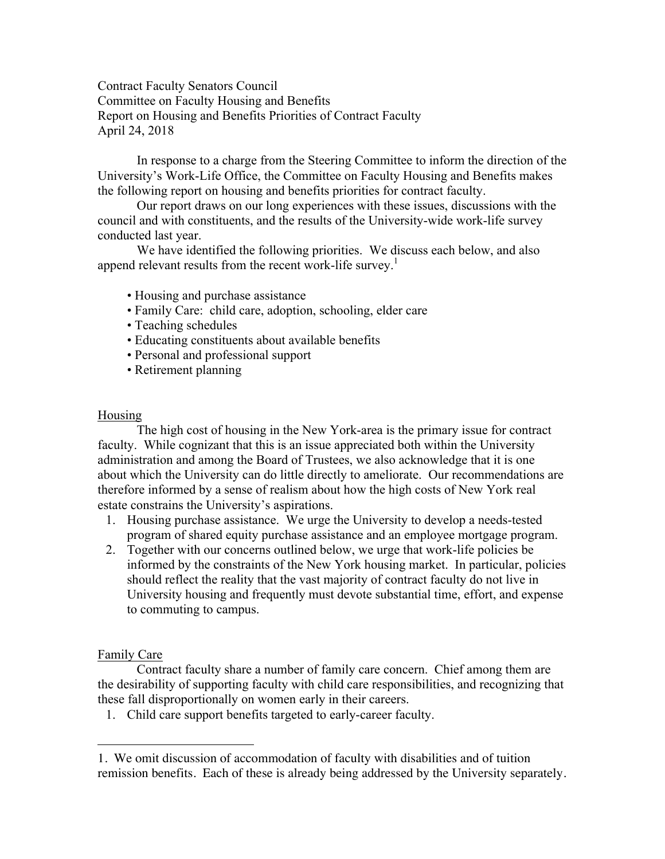Contract Faculty Senators Council Committee on Faculty Housing and Benefits Report on Housing and Benefits Priorities of Contract Faculty April 24, 2018

In response to a charge from the Steering Committee to inform the direction of the University's Work-Life Office, the Committee on Faculty Housing and Benefits makes the following report on housing and benefits priorities for contract faculty.

Our report draws on our long experiences with these issues, discussions with the council and with constituents, and the results of the University-wide work-life survey conducted last year.

We have identified the following priorities. We discuss each below, and also append relevant results from the recent work-life survey.<sup>1</sup>

- Housing and purchase assistance
- Family Care: child care, adoption, schooling, elder care
- Teaching schedules
- Educating constituents about available benefits
- Personal and professional support
- Retirement planning

### Housing

The high cost of housing in the New York-area is the primary issue for contract faculty. While cognizant that this is an issue appreciated both within the University administration and among the Board of Trustees, we also acknowledge that it is one about which the University can do little directly to ameliorate. Our recommendations are therefore informed by a sense of realism about how the high costs of New York real estate constrains the University's aspirations.

- 1. Housing purchase assistance. We urge the University to develop a needs-tested program of shared equity purchase assistance and an employee mortgage program.
- 2. Together with our concerns outlined below, we urge that work-life policies be informed by the constraints of the New York housing market. In particular, policies should reflect the reality that the vast majority of contract faculty do not live in University housing and frequently must devote substantial time, effort, and expense to commuting to campus.

## Family Care

 $\overline{a}$ 

Contract faculty share a number of family care concern. Chief among them are the desirability of supporting faculty with child care responsibilities, and recognizing that these fall disproportionally on women early in their careers.

1. Child care support benefits targeted to early-career faculty.

<sup>1.</sup> We omit discussion of accommodation of faculty with disabilities and of tuition remission benefits. Each of these is already being addressed by the University separately.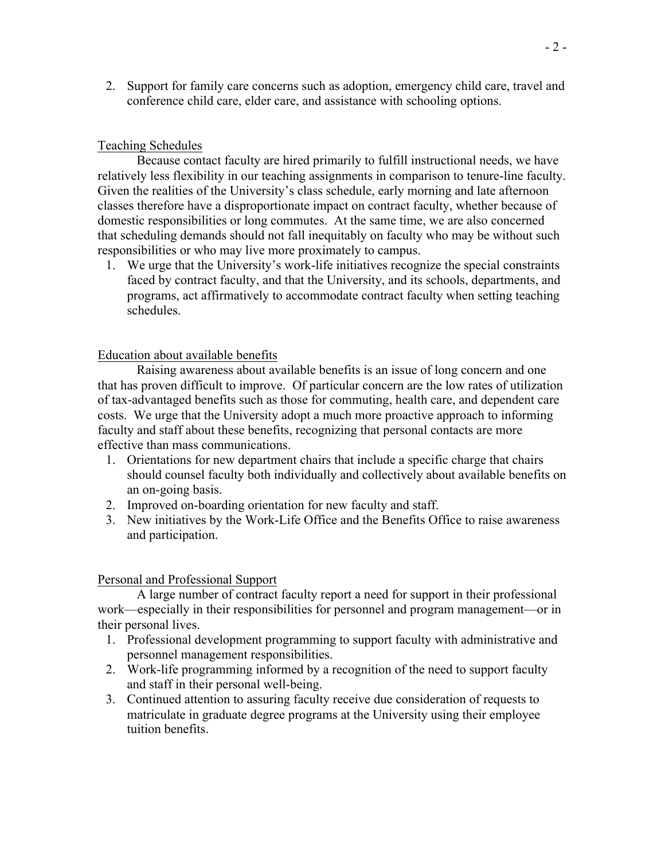2. Support for family care concerns such as adoption, emergency child care, travel and conference child care, elder care, and assistance with schooling options.

# Teaching Schedules

Because contact faculty are hired primarily to fulfill instructional needs, we have relatively less flexibility in our teaching assignments in comparison to tenure-line faculty. Given the realities of the University's class schedule, early morning and late afternoon classes therefore have a disproportionate impact on contract faculty, whether because of domestic responsibilities or long commutes. At the same time, we are also concerned that scheduling demands should not fall inequitably on faculty who may be without such responsibilities or who may live more proximately to campus.

1. We urge that the University's work-life initiatives recognize the special constraints faced by contract faculty, and that the University, and its schools, departments, and programs, act affirmatively to accommodate contract faculty when setting teaching schedules.

## Education about available benefits

Raising awareness about available benefits is an issue of long concern and one that has proven difficult to improve. Of particular concern are the low rates of utilization of tax-advantaged benefits such as those for commuting, health care, and dependent care costs. We urge that the University adopt a much more proactive approach to informing faculty and staff about these benefits, recognizing that personal contacts are more effective than mass communications.

- 1. Orientations for new department chairs that include a specific charge that chairs should counsel faculty both individually and collectively about available benefits on an on-going basis.
- 2. Improved on-boarding orientation for new faculty and staff.
- 3. New initiatives by the Work-Life Office and the Benefits Office to raise awareness and participation.

### Personal and Professional Support

A large number of contract faculty report a need for support in their professional work—especially in their responsibilities for personnel and program management—or in their personal lives.

- 1. Professional development programming to support faculty with administrative and personnel management responsibilities.
- 2. Work-life programming informed by a recognition of the need to support faculty and staff in their personal well-being.
- 3. Continued attention to assuring faculty receive due consideration of requests to matriculate in graduate degree programs at the University using their employee tuition benefits.